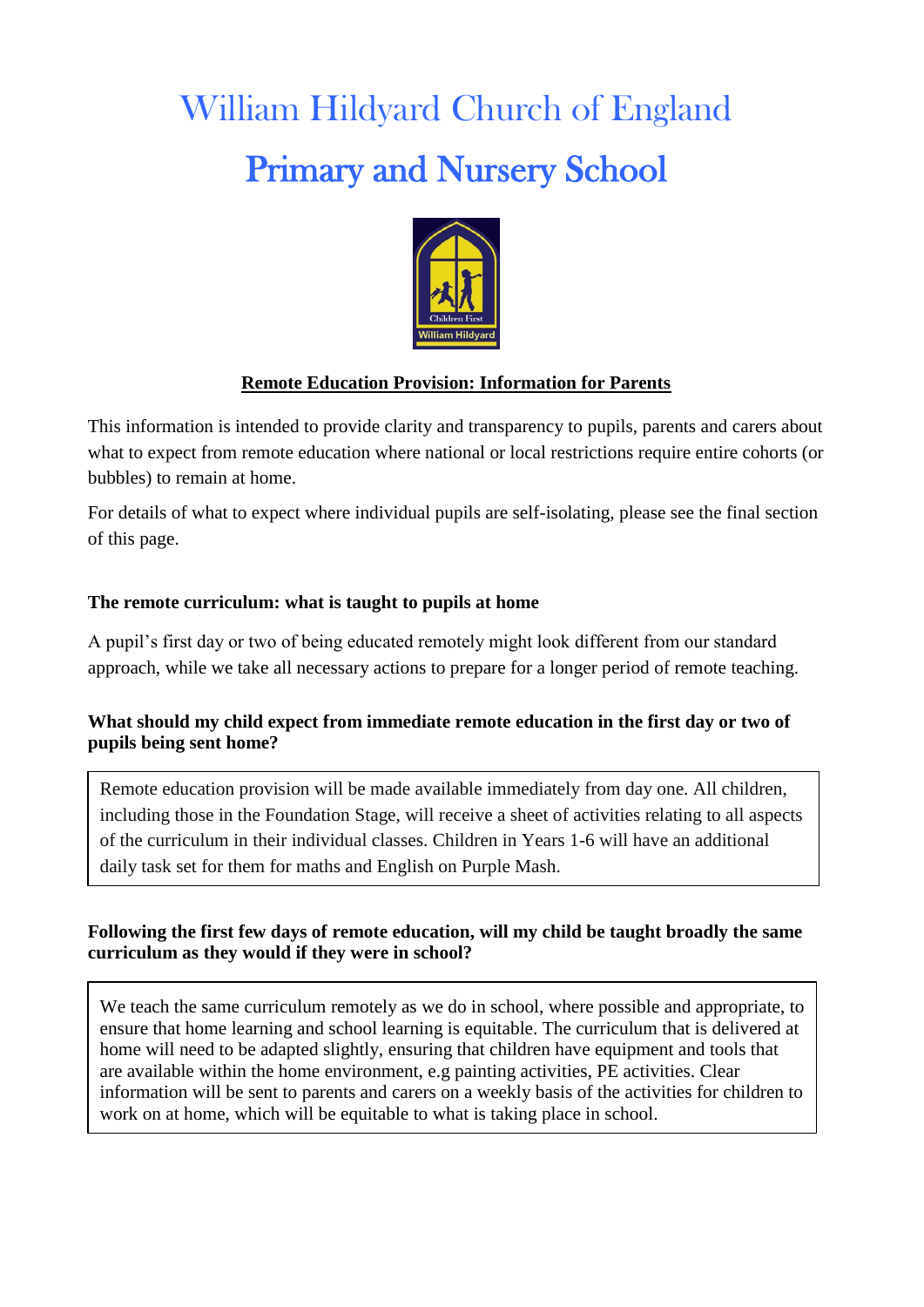# William Hildyard Church of England Primary and Nursery School



### **Remote Education Provision: Information for Parents**

This information is intended to provide clarity and transparency to pupils, parents and carers about what to expect from remote education where national or local restrictions require entire cohorts (or bubbles) to remain at home.

For details of what to expect where individual pupils are self-isolating, please see the final section of this page.

#### **The remote curriculum: what is taught to pupils at home**

A pupil's first day or two of being educated remotely might look different from our standard approach, while we take all necessary actions to prepare for a longer period of remote teaching.

#### **What should my child expect from immediate remote education in the first day or two of pupils being sent home?**

Remote education provision will be made available immediately from day one. All children, including those in the Foundation Stage, will receive a sheet of activities relating to all aspects of the curriculum in their individual classes. Children in Years 1-6 will have an additional daily task set for them for maths and English on Purple Mash.

#### **Following the first few days of remote education, will my child be taught broadly the same curriculum as they would if they were in school?**

We teach the same curriculum remotely as we do in school, where possible and appropriate, to ensure that home learning and school learning is equitable. The curriculum that is delivered at home will need to be adapted slightly, ensuring that children have equipment and tools that are available within the home environment, e.g painting activities, PE activities. Clear information will be sent to parents and carers on a weekly basis of the activities for children to work on at home, which will be equitable to what is taking place in school.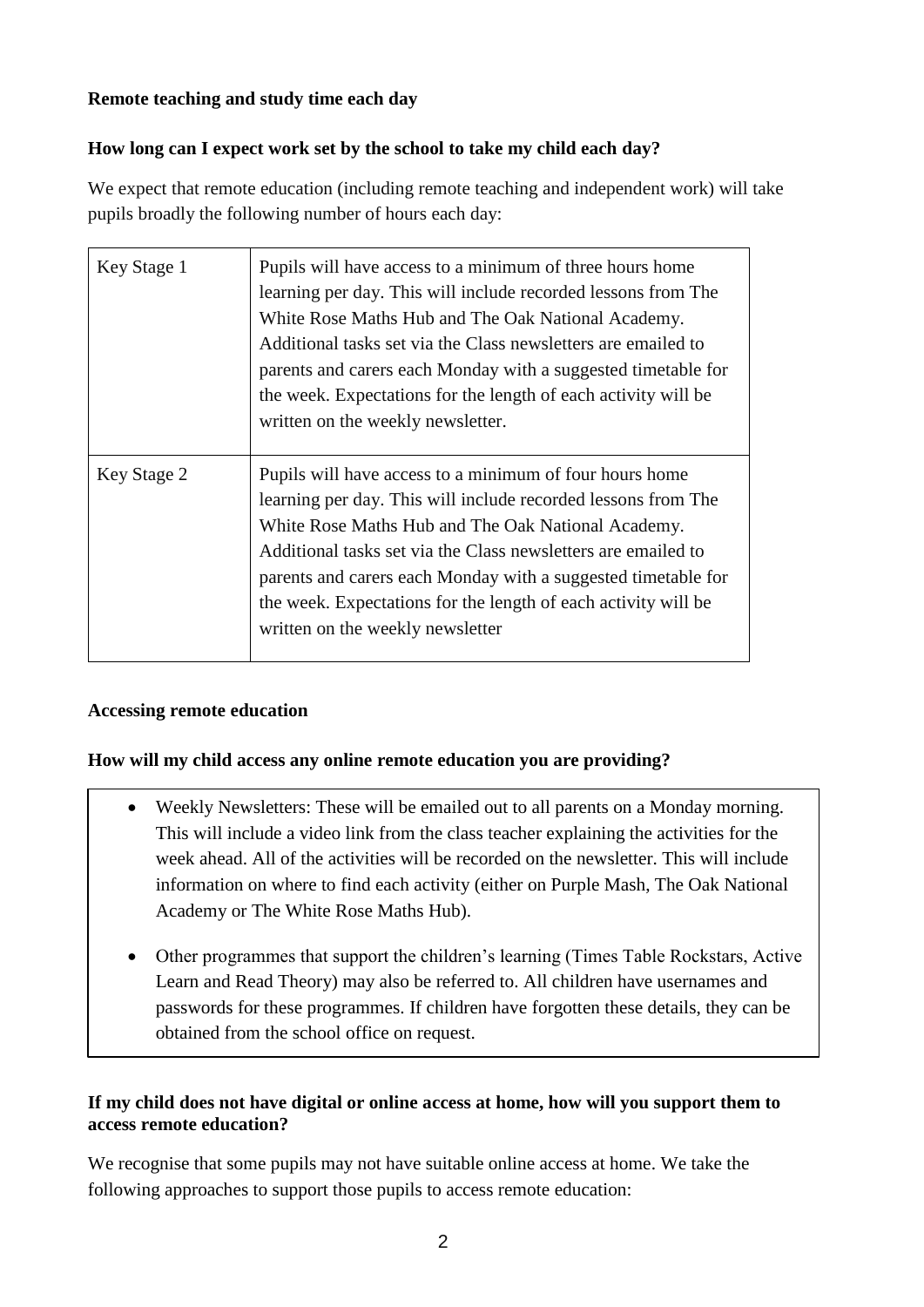#### **Remote teaching and study time each day**

#### **How long can I expect work set by the school to take my child each day?**

We expect that remote education (including remote teaching and independent work) will take pupils broadly the following number of hours each day:

| Key Stage 1 | Pupils will have access to a minimum of three hours home<br>learning per day. This will include recorded lessons from The<br>White Rose Maths Hub and The Oak National Academy.<br>Additional tasks set via the Class newsletters are emailed to<br>parents and carers each Monday with a suggested timetable for<br>the week. Expectations for the length of each activity will be<br>written on the weekly newsletter. |
|-------------|--------------------------------------------------------------------------------------------------------------------------------------------------------------------------------------------------------------------------------------------------------------------------------------------------------------------------------------------------------------------------------------------------------------------------|
| Key Stage 2 | Pupils will have access to a minimum of four hours home<br>learning per day. This will include recorded lessons from The<br>White Rose Maths Hub and The Oak National Academy.<br>Additional tasks set via the Class newsletters are emailed to<br>parents and carers each Monday with a suggested timetable for<br>the week. Expectations for the length of each activity will be<br>written on the weekly newsletter   |

#### **Accessing remote education**

#### **How will my child access any online remote education you are providing?**

- Weekly Newsletters: These will be emailed out to all parents on a Monday morning. This will include a video link from the class teacher explaining the activities for the week ahead. All of the activities will be recorded on the newsletter. This will include information on where to find each activity (either on Purple Mash, The Oak National Academy or The White Rose Maths Hub).
- Other programmes that support the children's learning (Times Table Rockstars, Active Learn and Read Theory) may also be referred to. All children have usernames and passwords for these programmes. If children have forgotten these details, they can be obtained from the school office on request.

#### **If my child does not have digital or online access at home, how will you support them to access remote education?**

We recognise that some pupils may not have suitable online access at home. We take the following approaches to support those pupils to access remote education: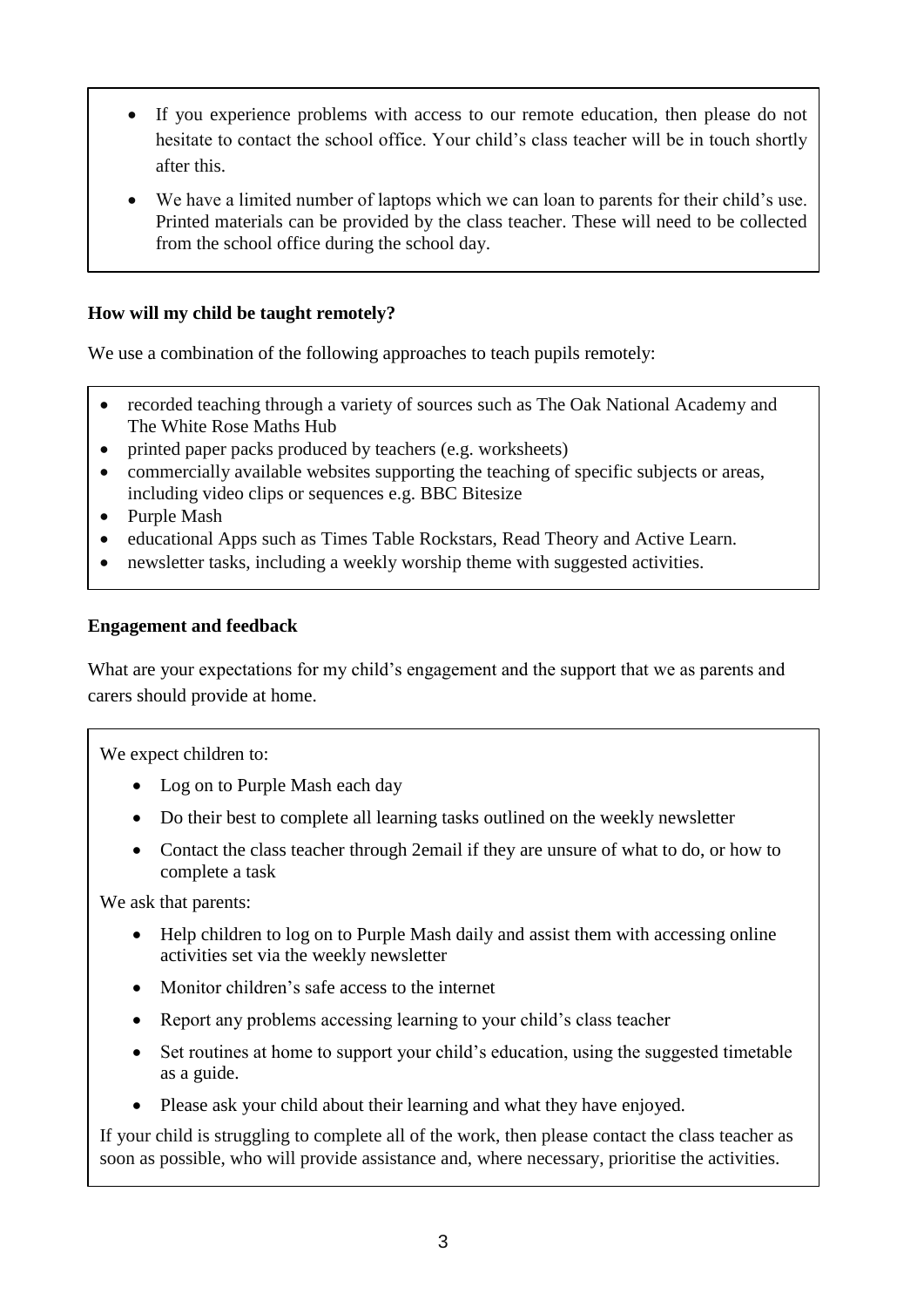- If you experience problems with access to our remote education, then please do not hesitate to contact the school office. Your child's class teacher will be in touch shortly after this.
- We have a limited number of laptops which we can loan to parents for their child's use. Printed materials can be provided by the class teacher. These will need to be collected from the school office during the school day.

#### **How will my child be taught remotely?**

We use a combination of the following approaches to teach pupils remotely:

- recorded teaching through a variety of sources such as The Oak National Academy and The White Rose Maths Hub
- printed paper packs produced by teachers (e.g. worksheets)
- commercially available websites supporting the teaching of specific subjects or areas, including video clips or sequences e.g. BBC Bitesize
- Purple Mash
- educational Apps such as Times Table Rockstars, Read Theory and Active Learn.
- newsletter tasks, including a weekly worship theme with suggested activities.

#### **Engagement and feedback**

What are your expectations for my child's engagement and the support that we as parents and carers should provide at home.

We expect children to:

- Log on to Purple Mash each day
- Do their best to complete all learning tasks outlined on the weekly newsletter
- Contact the class teacher through 2email if they are unsure of what to do, or how to complete a task

We ask that parents:

- Help children to log on to Purple Mash daily and assist them with accessing online activities set via the weekly newsletter
- Monitor children's safe access to the internet
- Report any problems accessing learning to your child's class teacher
- Set routines at home to support your child's education, using the suggested timetable as a guide.
- Please ask your child about their learning and what they have enjoyed.

If your child is struggling to complete all of the work, then please contact the class teacher as soon as possible, who will provide assistance and, where necessary, prioritise the activities.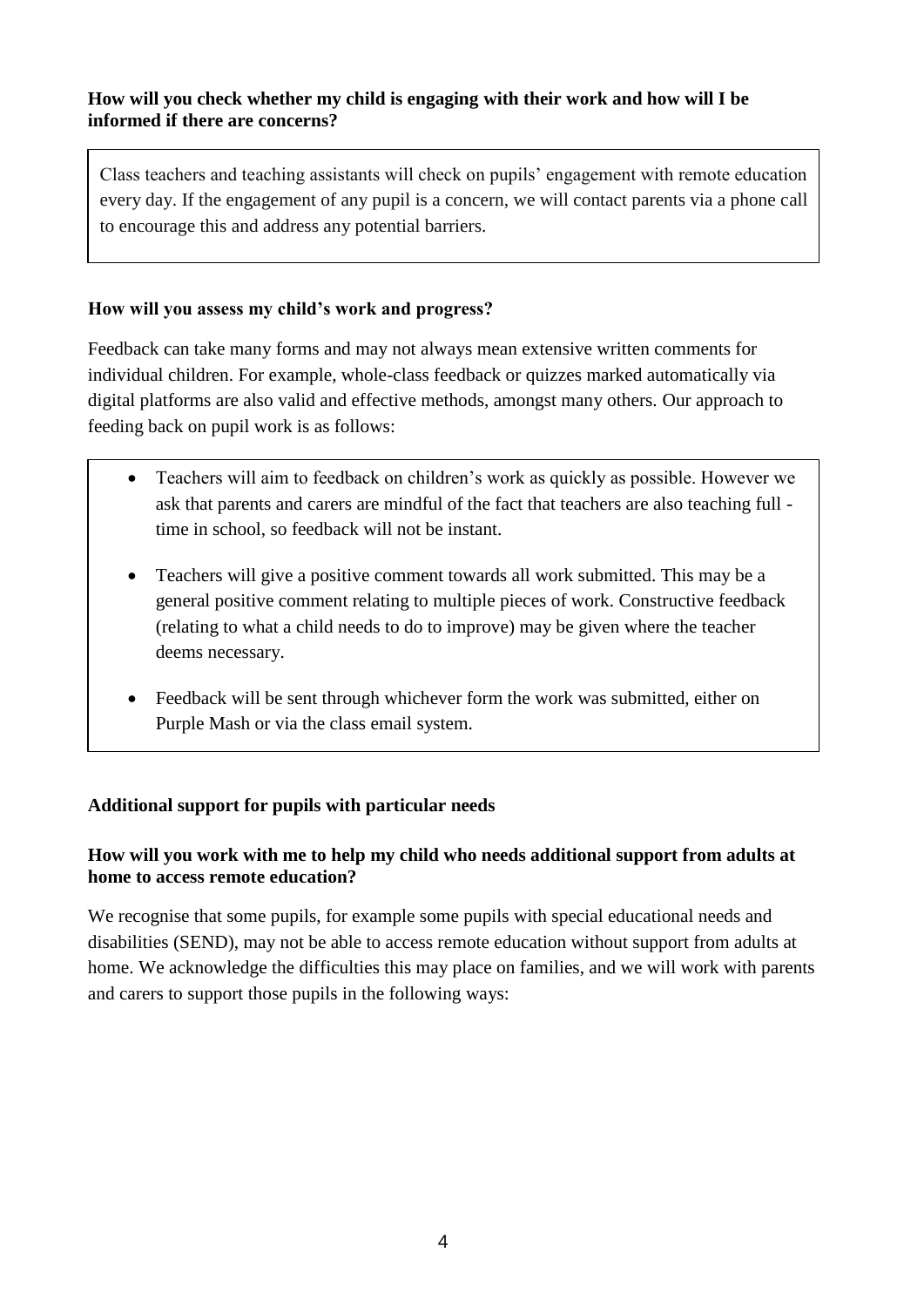#### **How will you check whether my child is engaging with their work and how will I be informed if there are concerns?**

Class teachers and teaching assistants will check on pupils' engagement with remote education every day. If the engagement of any pupil is a concern, we will contact parents via a phone call to encourage this and address any potential barriers.

#### **How will you assess my child's work and progress?**

Feedback can take many forms and may not always mean extensive written comments for individual children. For example, whole-class feedback or quizzes marked automatically via digital platforms are also valid and effective methods, amongst many others. Our approach to feeding back on pupil work is as follows:

- Teachers will aim to feedback on children's work as quickly as possible. However we ask that parents and carers are mindful of the fact that teachers are also teaching full time in school, so feedback will not be instant.
- Teachers will give a positive comment towards all work submitted. This may be a general positive comment relating to multiple pieces of work. Constructive feedback (relating to what a child needs to do to improve) may be given where the teacher deems necessary.
- Feedback will be sent through whichever form the work was submitted, either on Purple Mash or via the class email system.

## Additional support for pupils with particular needs

#### How will you work with me to help my child who needs additional support from adults at **home to access remote education?** ome to access remote culturion.

We recognise that some pupils, for example some pupils with special educational needs and disabilities (SEND), may not be able to access remote education without support from adults at home. We acknowledge the difficulties this may place on families, and we will work with parents and carers to support those pupils in the following ways: